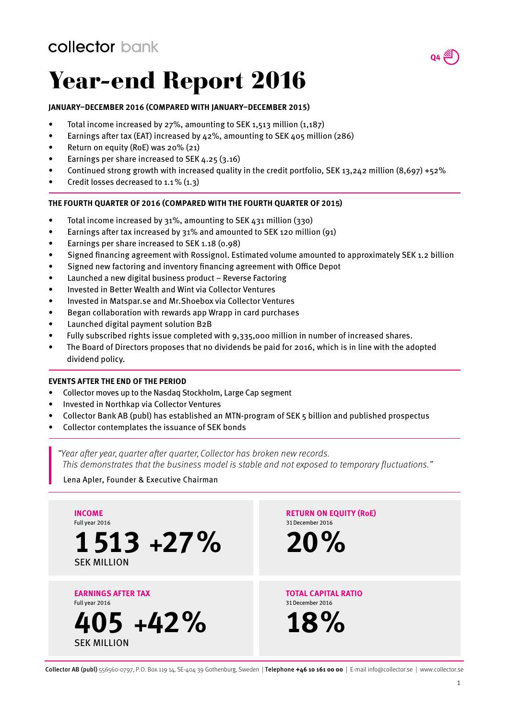## Year-end Report 2016

### **JANUARY–DECEMBER 2016 (COMPARED WITH JANUARY–DECEMBER 2015)**

- Total income increased by 27%, amounting to SEK 1,513 million (1,187)
- Earnings after tax (EAT) increased by 42%, amounting to SEK 405 million (286)
- Return on equity (RoE) was 20% (21)
- Earnings per share increased to SEK 4.25 (3.16)
- Continued strong growth with increased quality in the credit portfolio, SEK 13,242 million  $(8,697) +52\%$
- Credit losses decreased to 1.1% (1.3)

#### **THE FOURTH QUARTER OF 2016 (COMPARED WITH THE FOURTH QUARTER OF 201**5**)**

- Total income increased by 31%, amounting to SEK 431 million (330)
- Earnings after tax increased by 31% and amounted to SEK 120 million (91)
- Earnings per share increased to SEK 1.18 (0.98)
- Signed financing agreement with Rossignol. Estimated volume amounted to approximately SEK 1.2 billion
- Signed new factoring and inventory financing agreement with Office Depot
- Launched a new digital business product Reverse Factoring
- Invested in Better Wealth and Wint via Collector Ventures
- Invested in Matspar.se and Mr.Shoebox via Collector Ventures
- Began collaboration with rewards app Wrapp in card purchases
- Launched digital payment solution B2B
- Fully subscribed rights issue completed with 9,335,000 million in number of increased shares.
- The Board of Directors proposes that no dividends be paid for 2016, which is in line with the adopted dividend policy.

#### **EVENTS AFTER THE END OF THE PERIOD**

- Collector moves up to the Nasdaq Stockholm, Large Cap segment
- Invested in Northkap via Collector Ventures
- Collector Bank AB (publ) has established an MTN-program of SEK 5 billion and published prospectus
- Collector contemplates the issuance of SEK bonds

"Year after year, quarter after quarter, Collector has broken new records. This demonstrates that the business model is stable and not exposed to temporary fluctuations."

Lena Apler, Founder & Executive Chairman



Collector AB (publ) 556560-0797, P.O. Box 119 14, SE-404 39 Gothenburg, Sweden | Telephone **+46 10 161 00 00** | E-mail info@collector.se | www.collector.se

 $Q4 \stackrel{\text{AN}}{\leftarrow}$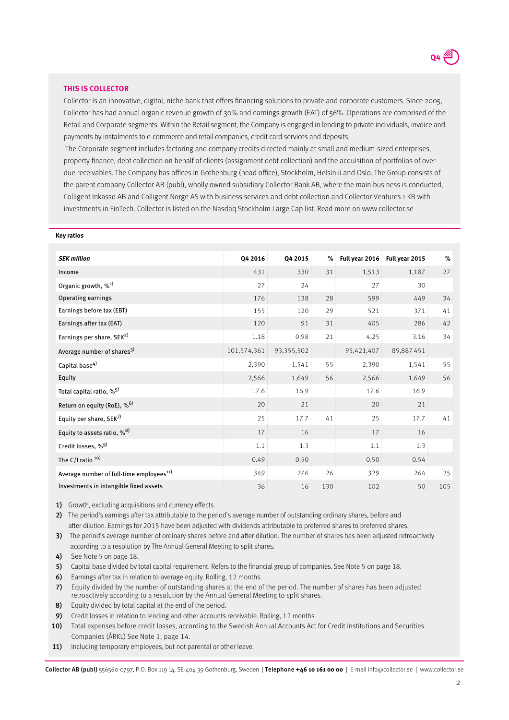#### **THIS IS COLLECTOR**

**Key ratios**

Collector is an innovative, digital, niche bank that offers financing solutions to private and corporate customers. Since 2005, Collector has had annual organic revenue growth of 30% and earnings growth (EAT) of 56%. Operations are comprised of the Retail and Corporate segments. Within the Retail segment, the Company is engaged in lending to private individuals, invoice and payments by instalments to e-commerce and retail companies, credit card services and deposits.

 The Corporate segment includes factoring and company credits directed mainly at small and medium-sized enterprises, property finance, debt collection on behalf of clients (assignment debt collection) and the acquisition of portfolios of overdue receivables. The Company has offices in Gothenburg (head office), Stockholm, Helsinki and Oslo. The Group consists of the parent company Collector AB (publ), wholly owned subsidiary Collector Bank AB, where the main business is conducted, Colligent Inkasso AB and Colligent Norge AS with business services and debt collection and Collector Ventures 1 KB with investments in FinTech. Collector is listed on the Nasdaq Stockholm Large Cap list. Read more on www.collector.se

| <b>SEK million</b>                                   | Q4 2016     | Q4 2015    | $\%$ | Full year 2016 | Full year 2015 | %   |
|------------------------------------------------------|-------------|------------|------|----------------|----------------|-----|
| Income                                               | 431         | 330        | 31   | 1,513          | 1,187          | 27  |
| Organic growth, % <sup>1)</sup>                      | 27          | 24         |      | 27             | 30             |     |
| Operating earnings                                   | 176         | 138        | 28   | 599            | 449            | 34  |
| Earnings before tax (EBT)                            | 155         | 120        | 29   | 521            | 371            | 41  |
| Earnings after tax (EAT)                             | 120         | 91         | 31   | 405            | 286            | 42  |
| Earnings per share, SEK <sup>2)</sup>                | 1.18        | 0.98       | 21   | 4.25           | 3.16           | 34  |
| Average number of shares <sup>3)</sup>               | 101,574,361 | 93,355,502 |      | 95,421,407     | 89,887451      |     |
| Capital base <sup>4)</sup>                           | 2,390       | 1,541      | 55   | 2,390          | 1,541          | 55  |
| Equity                                               | 2,566       | 1,649      | 56   | 2,566          | 1,649          | 56  |
| Total capital ratio, % <sup>5)</sup>                 | 17.6        | 16.9       |      | 17.6           | 16.9           |     |
| Return on equity (RoE), % <sup>6)</sup>              | 20          | 21         |      | 20             | 21             |     |
| Equity per share, SEK7)                              | 25          | 17.7       | 41   | 25             | 17.7           | 41  |
| Equity to assets ratio, % <sup>8)</sup>              | 17          | 16         |      | 17             | 16             |     |
| Credit losses, %9)                                   | 1.1         | 1.3        |      | 1.1            | 1.3            |     |
| The C/I ratio <sup>10)</sup>                         | 0.49        | 0.50       |      | 0.50           | 0.54           |     |
| Average number of full-time employees <sup>11)</sup> | 349         | 276        | 26   | 329            | 264            | 25  |
| Investments in intangible fixed assets               | 36          | 16         | 130  | 102            | 50             | 105 |

1) Growth, excluding acquisitions and currency effects.

2) The period's earnings after tax attributable to the period's average number of outstanding ordinary shares, before and after dilution. Earnings for 2015 have been adjusted with dividends attributable to preferred shares to preferred shares.

3) The period's average number of ordinary shares before and after dilution. The number of shares has been adjusted retroactively according to a resolution by The Annual General Meeting to split shares.

4) See Note 5 on page 18.

5) Capital base divided by total capital requirement. Refers to the financial group of companies. See Note 5 on page 18.

6) Earnings after tax in relation to average equity. Rolling, 12 months.

7) Equity divided by the number of outstanding shares at the end of the period. The number of shares has been adjusted retroactively according to a resolution by the Annual General Meeting to split shares.

8) Equity divided by total capital at the end of the period.

9) Credit losses in relation to lending and other accounts receivable. Rolling, 12 months.

10) Total expenses before credit losses, according to the Swedish Annual Accounts Act for Credit Institutions and Securities Companies (ÅRKL) See Note 1, page 14.

11) Including temporary employees, but not parental or other leave.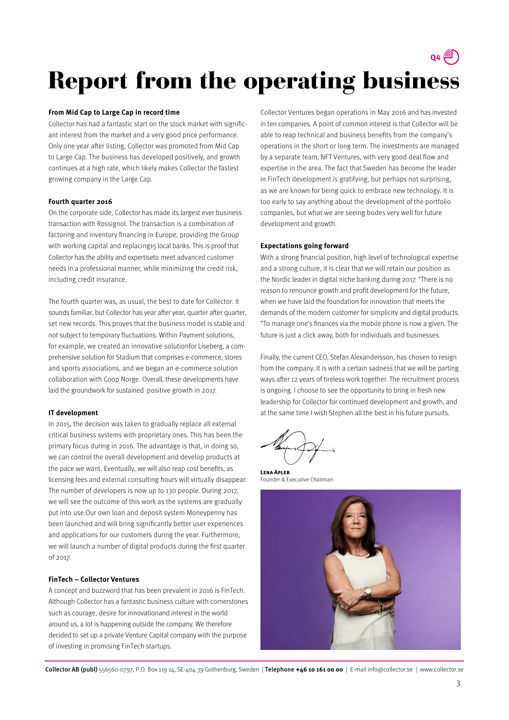

## Report from the operating business

#### **From Mid Cap to Large Cap in record time**

Collector has had a fantastic start on the stock market with significant interest from the market and a very good price performance. Only one year after listing, Collector was promoted from Mid Cap to Large Cap. The business has developed positively, and growth continues at a high rate, which likely makes Collector the fastest growing company in the Large Cap.

#### **Fourth quarter 2016**

On the corporate side, Collector has made its largest ever business transaction with Rossignol. The transaction is a combination of factoring and inventory financing in Europe, providing the Group with working capital and replacing15 local banks. This is proof that Collector has the ability and expertiseto meet advanced customer needs in a professional manner, while minimizing the credit risk, including credit insurance.

The fourth quarter was, as usual, the best to date for Collector. It sounds familiar, but Collector has year after year, quarter after quarter, set new records. This proves that the business model is stable and not subject to temporary fluctuations. Within Payment solutions, for example, we created an innovative solutionfor Liseberg, a comprehensive solution for Stadium that comprises e-commerce, stores and sports associations, and we began an e-commerce solution collaboration with Coop Norge. Overall, these developments have laid the groundwork for sustained positive growth in 2017.

#### **IT development**

In 2015, the decision was taken to gradually replace all external critical business systems with proprietary ones. This has been the primary focus during in 2016. The advantage is that, in doing so, we can control the overall development and develop products at the pace we want. Eventually, we will also reap cost benefits, as licensing fees and external consulting hours will virtually disappear. The number of developers is now up to 130 people. During 2017, we will see the outcome of this work as the systems are gradually put into use.Our own loan and deposit system Moneypenny has been launched and will bring significantly better user experiences and applications for our customers during the year. Furthermore, we will launch a number of digital products during the first quarter of 2017.

#### **FinTech – Collector Ventures**

A concept and buzzword that has been prevalent in 2016 is FinTech. Although Collector has a fantastic business culture with cornerstones such as courage, desire for innovationand interest in the world around us, a lot is happening outside the company. We therefore decided to set up a private Venture Capital company with the purpose of investing in promising FinTech startups.

Collector Ventures began operations in May 2016 and has invested in ten companies. A point of common interest is that Collector will be able to reap technical and business benefits from the company's operations in the short or long term. The investments are managed by a separate team, NFT Ventures, with very good deal flow and expertise in the area. The fact that Sweden has become the leader in FinTech development is gratifying, but perhaps not surprising, as we are known for being quick to embrace new technology. It is too early to say anything about the development of the portfolio companies, but what we are seeing bodes very well for future development and growth.

#### **Expectations going forward**

With a strong financial position, high level of technological expertise and a strong culture, it is clear that we will retain our position as the Nordic leader in digital niche banking during 2017. "There is no reason to renounce growth and profit development for the future, when we have laid the foundation for innovation that meets the demands of the modern customer for simplicity and digital products. "To manage one's finances via the mobile phone is now a given. The future is just a click away, both for individuals and businesses.

Finally, the current CEO, Stefan Alexandersson, has chosen to resign from the company. It is with a certain sadness that we will be parting ways after 12 years of tireless work together. The recruitment process is ongoing. I choose to see the opportunity to bring in fresh new leadership for Collector for continued development and growth, and at the same time I wish Stephen all the best in his future pursuits.

**Lena Apler** Founder & Executive Chairman

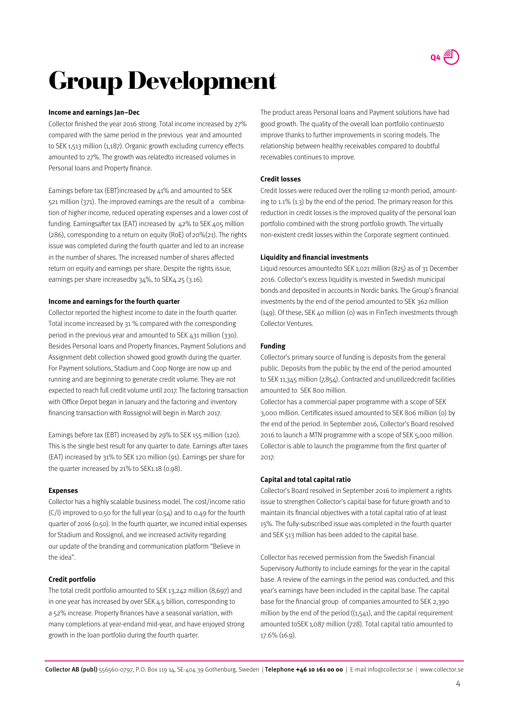

## Group Development

#### **Income and earnings Jan–Dec**

Collector finished the year 2016 strong. Total income increased by 27% compared with the same period in the previous year and amounted to SEK 1,513 million (1,187). Organic growth excluding currency effects amounted to 27%. The growth was relatedto increased volumes in Personal loans and Property finance.

Earnings before tax (EBT)increased by 41% and amounted to SEK 521 million (371). The improved earnings are the result of a combination of higher income, reduced operating expenses and a lower cost of funding. Earningsafter tax (EAT) increased by 42% to SEK 405 million ( $286$ ), corresponding to a return on equity (RoE) of  $20\%$ ( $21$ ). The rights issue was completed during the fourth quarter and led to an increase in the number of shares. The increased number of shares affected return on equity and earnings per share. Despite the rights issue, earnings per share increasedby 34%, to SEK4.25 (3.16).

#### **Income and earnings for the fourth quarter**

Collector reported the highest income to date in the fourth quarter. Total income increased by 31 % compared with the corresponding period in the previous year and amounted to SEK 431 million (330). Besides Personal loans and Property finances, Payment Solutions and Assignment debt collection showed good growth during the quarter. For Payment solutions, Stadium and Coop Norge are now up and running and are beginning to generate credit volume. They are not expected to reach full credit volume until 2017. The factoring transaction with Office Depot began in January and the factoring and inventory financing transaction with Rossignol will begin in March 2017.

Earnings before tax (EBT) increased by 29% to SEK 155 million (120). This is the single best result for any quarter to date. Earnings after taxes (EAT) increased by 31% to SEK 120 million (91). Earnings per share for the quarter increased by 21% to SEK1.18 (0.98).

#### **Expenses**

Collector has a highly scalable business model. The cost/income ratio  $(C/I)$  improved to 0.50 for the full year  $(0.54)$  and to 0.49 for the fourth quarter of 2016 (0.50). In the fourth quarter, we incurred initial expenses for Stadium and Rossignol, and we increased activity regarding our update of the branding and communication platform "Believe in the idea".

#### **Credit portfolio**

The total credit portfolio amounted to SEK 13,242 million (8,697) and in one year has increased by over SEK 4.5 billion, corresponding to a 52% increase. Property finances have a seasonal variation, with many completions at year-endand mid-year, and have enjoyed strong growth in the loan portfolio during the fourth quarter.

The product areas Personal loans and Payment solutions have had good growth. The quality of the overall loan portfolio continuesto improve thanks to further improvements in scoring models. The relationship between healthy receivables compared to doubtful receivables continues to improve.

#### **Credit losses**

Credit losses were reduced over the rolling 12-month period, amounting to 1.1% (1.3) by the end of the period. The primary reason for this reduction in credit losses is the improved quality of the personal loan portfolio combined with the strong portfolio growth. The virtually non-existent credit losses within the Corporate segment continued.

#### **Liquidity and financial investments**

Liquid resources amountedto SEK 1,021 million (825) as of 31 December 2016. Collector's excess liquidity is invested in Swedish municipal bonds and deposited in accounts in Nordic banks. The Group's financial investments by the end of the period amounted to SEK 362 million (149). Of these, SEK 40 million (0) was in FinTech investments through Collector Ventures.

#### **Funding**

Collector's primary source of funding is deposits from the general public. Deposits from the public by the end of the period amounted to SEK 11,345 million (7,854). Contracted and unutilizedcredit facilities amounted to SEK 800 million.

Collector has a commercial paper programme with a scope of SEK 3,000 million. Certificates issued amounted to SEK 806 million (0) by the end of the period. In September 2016, Collector's Board resolved 2016 to launch a MTN programme with a scope of SEK 5,000 million. Collector is able to launch the programme from the first quarter of 2017.

#### **Capital and total capital ratio**

Collector's Board resolved in September 2016 to implement a rights issue to strengthen Collector's capital base for future growth and to maintain its financial objectives with a total capital ratio of at least 15%. The fully-subscribed issue was completed in the fourth quarter and SEK 513 million has been added to the capital base.

Collector has received permission from the Swedish Financial Supervisory Authority to include earnings for the year in the capital base. A review of the earnings in the period was conducted, and this year's earnings have been included in the capital base. The capital base for the financial group of companies amounted to SEK 2,390 million by the end of the period  $((1,541)$ , and the capital requirement amounted toSEK 1,087 million (728). Total capital ratio amounted to 17.6% (16.9).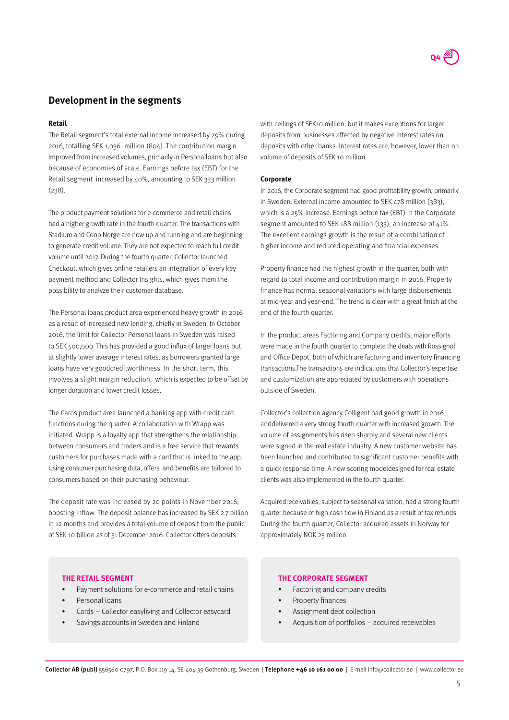

### **Development in the segments**

#### **Retail**

The Retail segment's total external income increased by 29% during 2016, totalling SEK 1,036 million (804). The contribution margin improved from increased volumes, primarily in Personalloans but also because of economies of scale. Earnings before tax (EBT) for the Retail segment increased by 40%, amounting to SEK 333 million (238).

The product payment solutions for e-commerce and retail chains had a higher growth rate in the fourth quarter. The transactions with Stadium and Coop Norge are now up and running and are beginning to generate credit volume. They are not expected to reach full credit volume until 2017. During the fourth quarter, Collector launched Checkout, which gives online retailers an integration of every key payment method and Collector Insights, which gives them the possibility to analyze their customer database.

The Personal loans product area experienced heavy growth in 2016 as a result of increased new lending, chiefly in Sweden. In October 2016, the limit for Collector Personal loans in Sweden was raised to SEK 500,000. This has provided a good influx of larger loans but at slightly lower average interest rates, as borrowers granted large loans have very goodcreditworthiness. In the short term, this involves a slight margin reduction, which is expected to be offset by longer duration and lower credit losses.

The Cards product area launched a banking app with credit card functions during the quarter. A collaboration with Wrapp was initiated. Wrapp is a loyalty app that strengthens the relationship between consumers and traders and is a free service that rewards customers for purchases made with a card that is linked to the app. Using consumer purchasing data, offers and benefits are tailored to consumers based on their purchasing behaviour.

The deposit rate was increased by 20 points in November 2016, boosting inflow. The deposit balance has increased by SEK 2.7 billion in 12 months and provides a total volume of deposit from the public of SEK 10 billion as of 31 December 2016. Collector offers deposits

with ceilings of SEK10 million, but it makes exceptions for larger deposits from businesses affected by negative interest rates on deposits with other banks. Interest rates are, however, lower than on volume of deposits of SEK 10 million.

#### **Corporate**

In 2016, the Corporate segment had good profitability growth, primarily in Sweden. External income amounted to SEK 478 million (383), which is a 25% increase. Earnings before tax (EBT) in the Corporate segment amounted to SEK 188 million (133), an increase of  $41\%$ . The excellent earnings growth is the result of a combination of higher income and reduced operating and financial expenses.

Property finance had the highest growth in the quarter, both with regard to total income and contribution margin in 2016. Property finance has normal seasonal variations with large disbursements at mid-year and year-end. The trend is clear with a great finish at the end of the fourth quarter.

In the product areas Factoring and Company credits, major efforts were made in the fourth quarter to complete the deals with Rossignol and Office Depot, both of which are factoring and inventory financing transactions.The transactions are indications that Collector's expertise and customization are appreciated by customers with operations outside of Sweden.

Collector's collection agency Colligent had good growth in 2016 anddelivered a very strong fourth quarter with increased growth. The volume of assignments has risen sharply and several new clients were signed in the real estate industry. A new customer website has been launched and contributed to significant customer benefits with a quick response time. A new scoring modeldesigned for real estate clients was also implemented in the fourth quarter.

Acquiredreceivables, subject to seasonal variation, had a strong fourth quarter because of high cash flow in Finland as a result of tax refunds. During the fourth quarter, Collector acquired assets in Norway for approximately NOK 25 million.

#### **THE RETAIL SEGMENT**

- Payment solutions for e-commerce and retail chains
- Personal loans
- Cards Collector easyliving and Collector easycard
- Savings accounts in Sweden and Finland

#### **THE CORPORATE SEGMENT**

- Factoring and company credits
- Property finances
- Assignment debt collection
- Acquisition of portfolios acquired receivables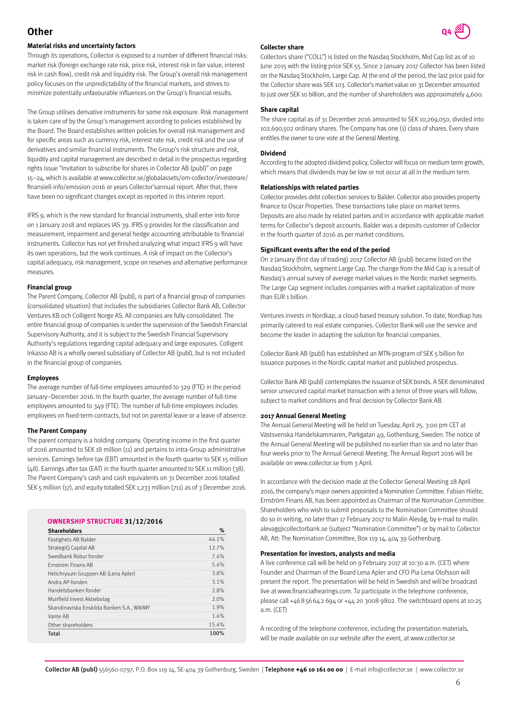### **Other**

#### **Material risks and uncertainty factors**

Through its operations, Collector is exposed to a number of different financial risks: market risk (foreign exchange rate risk, price risk, interest risk in fair value, interest risk in cash flow), credit risk and liquidity risk. The Group's overall risk management policy focuses on the unpredictability of the financial markets, and strives to minimize potentially unfavourable influences on the Group's financial results.

The Group utilises derivative instruments for some risk exposure. Risk management is taken care of by the Group's management according to policies established by the Board. The Board establishes written policies for overall risk management and for specific areas such as currency risk, interest rate risk, credit risk and the use of derivatives and similar financial instruments. The Group's risk structure and risk, liquidity and capital management are described in detail in the prospectus regarding rights issue "Invitation to subscribe for shares in Collector AB (publ)" on page 15–24, which is available at www.collector.se/globalassets/om-collector/investerare/ finansiell-info/emission-2016 or years Collector'sannual report. After that, there have been no significant changes except as reported in this interim report.

IFRS 9, which is the new standard for financial instruments, shall enter into force on 1 January 2018 and replaces IAS 39. IFRS 9 provides for the classification and measurement, impairment and general hedge accounting attributable to financial instruments. Collector has not yet finished analyzing what impact IFRS 9 will have its own operations, but the work continues. A risk of impact on the Collector's capital adequacy, risk management, scope on reserves and alternative performance measures.

#### **Financial group**

The Parent Company, Collector AB (publ), is part of a financial group of companies (consolidated situation) that includes the subsidiaries Collector Bank AB, Collector Ventures KB och Colligent Norge AS. All companies are fully consolidated. The entire financial group of companies is under the supervision of the Swedish Financial Supervisory Authority, and it is subject to the Swedish Financial Supervisory Authority's regulations regarding capital adequacy and large exposures. Colligent Inkasso AB is a wholly owned subsidiary of Collector AB (publ), but is not included in the financial group of companies.

#### **Employees**

The average number of full-time employees amounted to 329 (FTE) in the period January–December 2016. In the fourth quarter, the average number of full-time employees amounted to 349 (FTE). The number of full-time employees includes employees on fixed-term contracts, but not on parental leave or a leave of absence.

#### **The Parent Company**

The parent company is a holding company. Operating income in the first quarter of 2016 amounted to SEK 18 million (11) and pertains to intra-Group administrative services. Earnings before tax (EBT) amounted in the fourth quarter to SEK 15 million (48). Earnings after tax (EAT) in the fourth quarter amounted to SEK 11 million (38). The Parent Company's cash and cash equivalents on 31 December 2016 totalled SEK 5 million (17), and equity totalled SEK 1,233 million (711) as of 3 December 2016.

#### **OWNERSHIP STRUCTURE 31/12/2016**

| <b>Shareholders</b>                       | $\%$  |
|-------------------------------------------|-------|
| Fastighets AB Balder                      | 44.1% |
| StrategiQ Capital AB                      | 12.7% |
| Swedbank Robur fonder                     | 7.4%  |
| <b>Frnström Finans AB</b>                 | 5.4%  |
| Helichrysum Gruppen AB (Lena Apler)       | 3.8%  |
| Andra AP-fonden                           | 3.1%  |
| Handelsbanken fonder                      | 2.8%  |
| Muirfield Invest Aktiebolag               | 2.0%  |
| Skandinaviska Enskilda Banken S.A., W8IMY | 1.9%  |
| Vante AR                                  | 1.4%  |
| Other shareholders                        | 15.4% |
| Total                                     | 100%  |

#### **Collecter share**

Collectors share ("COLL") is listed on the Nasdaq Stockholm, Mid Cap list as of 10 June 2015 with the listing price SEK 55. Since 2 January 2017 Collector has been listed on the Nasdaq Stockholm, Large Cap. At the end of the period, the last price paid for the Collector share was SEK 103. Collector's market value on 31 December amounted to just over SEK 10 billion, and the number of shareholders was approximately 4,600.

#### **Share capital**

The share capital as of 31 December 2016 amounted to SEK 10,269,050, divided into 102,690,502 ordinary shares. The Company has one (1) class of shares. Every share entitles the owner to one vote at the General Meeting.

#### **Dividend**

According to the adopted dividend policy, Collector will focus on medium term growth, which means that dividends may be low or not occur at all in the medium term.

#### **Relationships with related parties**

Collector provides debt collection services to Balder. Collector also provides property finance to Oscar Properties. These transactions take place on market terms. Deposits are also made by related parties and in accordance with applicable market terms for Collector's deposit accounts. Balder was a deposits customer of Collector in the fourth quarter of 2016 as per market conditions.

#### **Significant events after the end of the period**

On 2 January (first day of trading) 2017 Collector AB (publ) became listed on the Nasdaq Stockholm, segment Large Cap. The change from the Mid Cap is a result of Nasdaq's annual survey of average market values in the Nordic market segments. The Large Cap segment includes companies with a market capitalization of more than EUR 1 billion.

Ventures invests in Nordkap, a cloud-based treasury solution. To date, Nordkap has primarily catered to real estate companies. Collector Bank will use the service and become the leader in adapting the solution for financial companies.

Collector Bank AB (publ) has established an MTN-program of SEK 5 billion for issuance purposes in the Nordic capital market and published prospectus.

Collector Bank AB (publ) contemplates the issuance of SEK bonds. A SEK denominated senior unsecured capital market transaction with a tenor of three years will follow, subject to market conditions and final decision by Collector Bank AB.

#### **2017 Annual General Meeting**

The Annual General Meeting will be held on Tuesday, April 25. 3:00 pm CET at Västsvenska Handelskammaren, Parkgatan 49, Gothenburg, Sweden. The notice of the Annual General Meeting will be published no earlier than six and no later than four weeks prior to The Annual General Meeting. The Annual Report 2016 will be available on www.collector.se from 3 April.

In accordance with the decision made at the Collector General Meeting 28 April 2016, the company's major owners appointed a Nomination Committee. Fabian Hielte, Ernström Finans AB, has been appointed as Chairman of the Nomination Committee. Shareholders who wish to submit proposals to the Nomination Committee should do so in writing, no later than 17 February 2017 to Malin Alevåg, by e-mail to malin. alevag@collectorbank.se (subject "Nomination Committee") or by mail to Collector AB, Att: The Nomination Committee, Box 119 14, 404 39 Gothenburg.

#### **Presentation for investors, analysts and media**

A live conference call will be held on 9 February 2017 at 10:30 a.m. (CET) where Founder and Chairman of the Board Lena Apler and CFO Pia-Lena Olofsson will present the report. The presentation will be held in Swedish and will be broadcast live at www.financialhearings.com. To participate in the telephone conference, please call +46856642 694 or +44 20 3008 9802. The switchboard opens at 10:25 a.m. (CET)

A recording of the telephone conference, including the presentation materials, will be made available on our website after the event, at www.collector.se

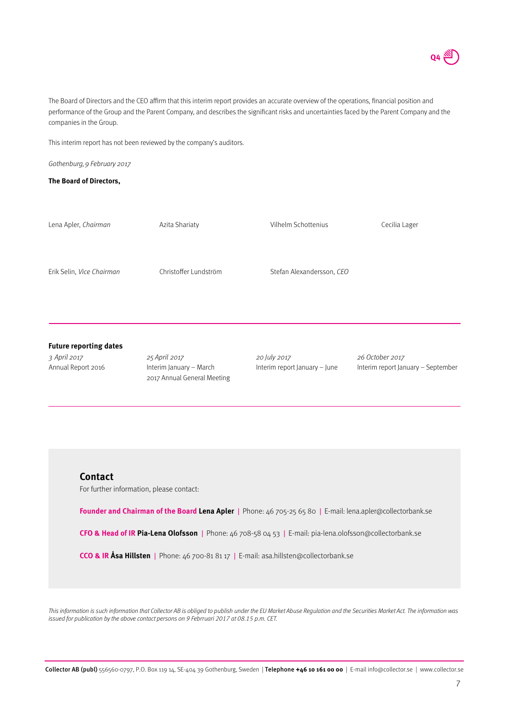

The Board of Directors and the CEO affirm that this interim report provides an accurate overview of the operations, financial position and performance of the Group and the Parent Company, and describes the significant risks and uncertainties faced by the Parent Company and the companies in the Group.

This interim report has not been reviewed by the company's auditors.

Gothenburg, 9 February 2017

#### **The Board of Directors,**

| Lena Apler, Chairman          | Azita Shariaty          | Vilhelm Schottenius           | Cecilia Lager                      |
|-------------------------------|-------------------------|-------------------------------|------------------------------------|
|                               |                         |                               |                                    |
| Erik Selin, Vice Chairman     | Christoffer Lundström   | Stefan Alexandersson, CEO     |                                    |
|                               |                         |                               |                                    |
|                               |                         |                               |                                    |
| <b>Future reporting dates</b> |                         |                               |                                    |
| 3 April 2017                  | 25 April 2017           | 20 July 2017                  | 26 October 2017                    |
| Annual Report 2016            | Interim January - March | Interim report January - June | Interim report January - September |

#### **Contact**

For further information, please contact:

**Founder and Chairman of the Board Lena Apler** | Phone: 46 705-25 65 80 | E-mail: lena.apler@collectorbank.se

**CFO & Head of IR Pia-Lena Olofsson** | Phone: 46 708-58 04 53 | E-mail: pia-lena.olofsson@collectorbank.se

**CCO & IR Åsa Hillsten** | Phone: 46 700-81 81 17 | E-mail: asa.hillsten@collectorbank.se

2017 Annual General Meeting

This information is such information that Collector AB is obliged to publish under the EU Market Abuse Regulation and the Securities Market Act. The information was issued for publication by the above contact persons on 9 Febrruari 2017 at 08.15 p.m. CET.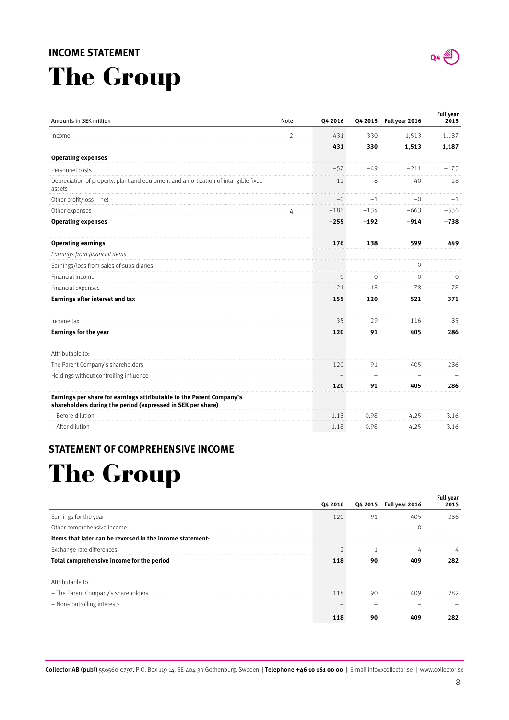### **INCOME STATEMENT**

# The Group

| Amounts in SEK million                                                                                                              | Note           | Q4 2016 | Q4 2015 | Full year 2016 | Full year<br>2015 |
|-------------------------------------------------------------------------------------------------------------------------------------|----------------|---------|---------|----------------|-------------------|
| Income                                                                                                                              | $\overline{2}$ | 431     | 330     | 1,513          | 1,187             |
|                                                                                                                                     |                | 431     | 330     | 1,513          | 1,187             |
| <b>Operating expenses</b>                                                                                                           |                |         |         |                |                   |
| Personnel costs                                                                                                                     |                | $-57$   | $-49$   | $-211$         | $-173$            |
| Depreciation of property, plant and equipment and amortization of intangible fixed<br>assets                                        |                | $-12$   | $-8$    | $-40$          | $-28$             |
| Other profit/loss - net                                                                                                             |                | $-0$    | $-1$    | $-0$           | $-1$              |
| Other expenses                                                                                                                      |                | $-186$  | $-134$  | $-663$         | $-536$            |
| <b>Operating expenses</b>                                                                                                           |                | $-255$  | $-192$  | $-914$         | $-738$            |
| <b>Operating earnings</b>                                                                                                           |                | 176     | 138     | 599            | 449               |
| Earnings from financial items                                                                                                       |                |         |         |                |                   |
| Earnings/loss from sales of subsidiaries                                                                                            |                |         |         | 0              |                   |
| Financial income                                                                                                                    |                | ∩       | $\cap$  | $\Omega$       | $\Omega$          |
| Financial expenses                                                                                                                  |                | $-21$   | $-18$   | $-78$          | $-78$             |
| Earnings after interest and tax                                                                                                     |                | 155     | 120     | 521            | 371               |
| Income tax                                                                                                                          |                | $-35$   | $-29$   | $-116$         | $-85$             |
| <b>Earnings for the year</b>                                                                                                        |                | 120     | 91      | 405            | 286               |
| Attributable to:                                                                                                                    |                |         |         |                |                   |
| The Parent Company's shareholders                                                                                                   |                | 120     | 91      | 405            | 286               |
| Holdings without controlling influence                                                                                              |                |         |         |                |                   |
|                                                                                                                                     |                | 120     | 91      | 405            | 286               |
| Earnings per share for earnings attributable to the Parent Company's<br>shareholders during the period (expressed in SEK per share) |                |         |         |                |                   |
| - Before dilution                                                                                                                   |                | 1.18    | 0.98    | 4.25           | 3.16              |
| - After dilution                                                                                                                    |                | 1.18    | 0.98    | 4.25           | 3.16              |

### **STATEMENT OF COMPREHENSIVE INCOME**

## The Group

|                                                           | Q4 2016 |    | Q4 2015  Full year 2016 | Full vear<br>2015 |
|-----------------------------------------------------------|---------|----|-------------------------|-------------------|
| Earnings for the year                                     | 120     |    |                         | 286               |
| Other comprehensive income                                |         |    |                         |                   |
| Items that later can be reversed in the income statement: |         |    |                         |                   |
| Exchange rate differences                                 |         |    |                         |                   |
| Total comprehensive income for the period                 |         |    |                         |                   |
| Attributable to:                                          |         |    |                         |                   |
| - The Parent Company's shareholders                       | 118     | 90 |                         | 282               |
| - Non-controlling interests                               |         |    |                         |                   |
|                                                           |         |    |                         |                   |



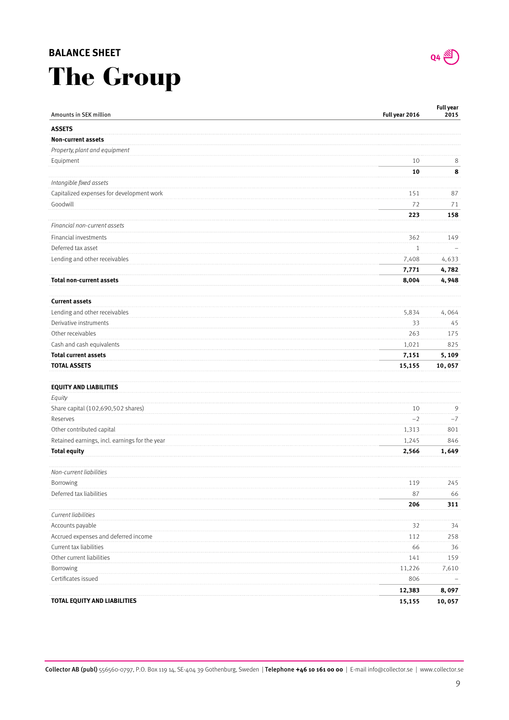### **BALANCE SHEET**

## The Group

| Amounts in SEK million                         | Full year 2016 | <b>Full year</b><br>2015 |
|------------------------------------------------|----------------|--------------------------|
| <b>ASSETS</b>                                  |                |                          |
| <b>Non-current assets</b>                      |                |                          |
| Property, plant and equipment                  |                |                          |
| Equipment                                      | 10             | 8                        |
|                                                | 10             | 8                        |
| Intangible fixed assets                        |                |                          |
| Capitalized expenses for development work      | 151            | 87                       |
| Goodwill                                       | 72             | 71                       |
|                                                | 223            | 158                      |
| Financial non-current assets                   |                |                          |
| Financial investments                          | 362            | 149                      |
| Deferred tax asset                             | $\mathbf{1}$   |                          |
| Lending and other receivables                  | 7,408          | 4,633                    |
|                                                | 7,771          | 4,782                    |
| <b>Total non-current assets</b>                | 8,004          | 4,948                    |
|                                                |                |                          |
| <b>Current assets</b>                          |                |                          |
| Lending and other receivables                  | 5,834          | 4,064                    |
| Derivative instruments                         | 33             | 45                       |
| Other receivables                              | 263            | 175                      |
| Cash and cash equivalents                      | 1,021          | 825                      |
| <b>Total current assets</b>                    | 7,151          | 5,109                    |
| <b>TOTAL ASSETS</b>                            | 15,155         | 10,057                   |
| <b>EQUITY AND LIABILITIES</b>                  |                |                          |
| Equity                                         |                |                          |
| Share capital (102,690,502 shares)             | 10             | 9                        |
| Reserves                                       | $-2$           | $-7$                     |
| Other contributed capital                      | 1,313          | 801                      |
| Retained earnings, incl. earnings for the year | 1,245          | 846                      |
| <b>Total equity</b>                            | 2,566          | 1,649                    |
| Non-current liabilities                        |                |                          |
| Borrowing                                      | 119            | 245                      |
| Deferred tax liabilities                       | 87             | 66                       |
|                                                | 206            | 311                      |
| Current liabilities                            |                |                          |
| Accounts payable                               | 32             | 34                       |
| Accrued expenses and deferred income           | 112            | 258                      |
| Current tax liabilities                        | 66             | 36                       |
| Other current liabilities                      | 141            | 159                      |
| Borrowing                                      | 11,226         | 7,610                    |
| Certificates issued                            | 806            |                          |
|                                                | 12,383         | 8,097                    |
| TOTAL EQUITY AND LIABILITIES                   | 15,155         | 10,057                   |

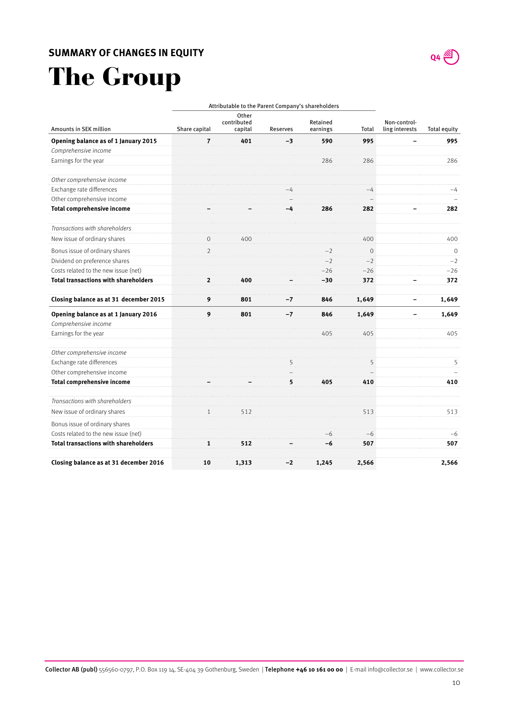

## The Group

|                                             | Attributable to the Parent Company's shareholders |                                 |          |                      |                |                                |                     |
|---------------------------------------------|---------------------------------------------------|---------------------------------|----------|----------------------|----------------|--------------------------------|---------------------|
| Amounts in SEK million                      | Share capital                                     | Other<br>contributed<br>capital | Reserves | Retained<br>earnings | Total          | Non-control-<br>ling interests | <b>Total equity</b> |
| Opening balance as of 1 January 2015        | 7                                                 | 401                             | -3       | 590                  | 995            |                                | 995                 |
| Comprehensive income                        |                                                   |                                 |          |                      |                |                                |                     |
| Earnings for the year                       |                                                   |                                 |          | 286                  | 286            |                                | 286                 |
| Other comprehensive income                  |                                                   |                                 |          |                      |                |                                |                     |
| Exchange rate differences                   |                                                   |                                 |          |                      | -4             |                                | -4                  |
| Other comprehensive income                  |                                                   |                                 |          |                      |                |                                |                     |
| <b>Total comprehensive income</b>           |                                                   |                                 | -4       | 286                  | 282            |                                | 282                 |
| Transactions with shareholders              |                                                   |                                 |          |                      |                |                                |                     |
| New issue of ordinary shares                | $\mathbf{0}$                                      | 400                             |          |                      | 400            |                                | 400                 |
| Bonus issue of ordinary shares              | $\overline{2}$                                    |                                 |          |                      | $\overline{O}$ |                                | $\Omega$            |
| Dividend on preference shares               |                                                   |                                 |          |                      | $-2$           |                                | $-2$                |
| Costs related to the new issue (net)        |                                                   |                                 |          | $-26$                | $-26$          |                                | $-26$               |
| <b>Total transactions with shareholders</b> | $\mathbf{2}$                                      | 400                             |          | $-30$                | 372            |                                | 372                 |
| Closing balance as at 31 december 2015      | 9                                                 | 801                             | $-7$     | 846                  | 1,649          |                                | 1,649               |
| Opening balance as at 1 January 2016        | 9                                                 | 801                             | $-7$     | 846                  | 1,649          |                                | 1,649               |
| Comprehensive income                        |                                                   |                                 |          |                      |                |                                |                     |
| Earnings for the year                       |                                                   |                                 |          | 405                  | 405            |                                | 405                 |
| Other comprehensive income                  |                                                   |                                 |          |                      |                |                                |                     |
| Exchange rate differences                   |                                                   |                                 |          |                      | 5              |                                | 5                   |
| Other comprehensive income                  |                                                   |                                 |          |                      |                |                                |                     |
| <b>Total comprehensive income</b>           |                                                   |                                 | 5        | 405                  | 410            |                                | 410                 |
| Transactions with shareholders              |                                                   |                                 |          |                      |                |                                |                     |
| New issue of ordinary shares                | $\mathbf{1}$                                      | 512                             |          |                      | 513            |                                | 513                 |
| Bonus issue of ordinary shares              |                                                   |                                 |          |                      |                |                                |                     |
| Costs related to the new issue (net)        |                                                   |                                 |          | $-6$                 | $-6$           |                                | $-6$                |
| <b>Total transactions with shareholders</b> | 1                                                 | 512                             |          | -6                   | 507            |                                | 507                 |
| Closing balance as at 31 december 2016      | 10                                                | 1,313                           | $-2$     | 1,245                | 2,566          |                                | 2,566               |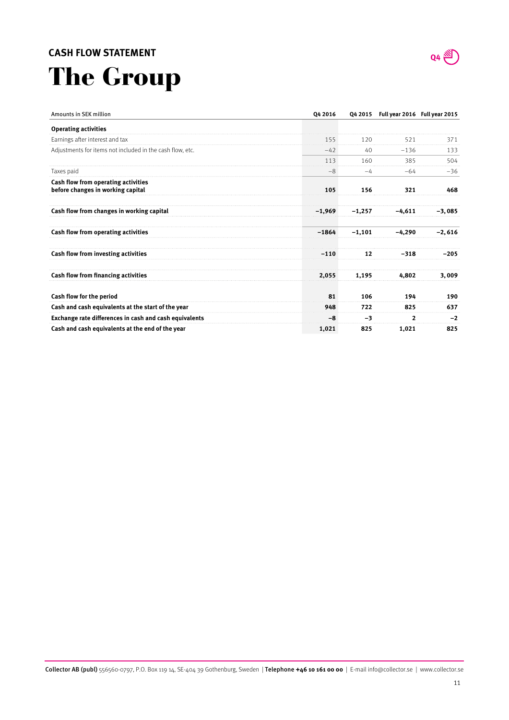### **CASH FLOW STATEMENT**

# The Group



| Amounts in SEK million                                                   | Q4 2016  |          | Q4 2015 Full year 2016 Full year 2015 |          |
|--------------------------------------------------------------------------|----------|----------|---------------------------------------|----------|
| <b>Operating activities</b>                                              |          |          |                                       |          |
| Earnings after interest and tax                                          | 155      | 120      | 521                                   | 371      |
| Adjustments for items not included in the cash flow, etc.                | $-42$    | 40       | $-136$                                | 133      |
|                                                                          | 113      | 160      | 385                                   | 504      |
| Taxes paid                                                               | $-8$     | $-4$     | $-64$                                 | $-36$    |
| Cash flow from operating activities<br>before changes in working capital | 105      | 156      | 321                                   | 468      |
| Cash flow from changes in working capital                                | $-1,969$ | $-1,257$ | $-4.611$                              | $-3,085$ |
| Cash flow from operating activities                                      | $-1864$  | $-1.101$ | $-4.290$                              | $-2,616$ |
| Cash flow from investing activities                                      | $-110$   | 12       | -318                                  | $-205$   |
| <b>Cash flow from financing activities</b>                               | 2.055    | 1,195    | 4.802                                 | 3.009    |
| Cash flow for the period                                                 | 81       | 106      | 194                                   | 190      |
| Cash and cash equivalents at the start of the year                       | 948      | 722      | 825                                   | 637      |
| Exchange rate differences in cash and cash equivalents                   | -8       | -3       | $\mathbf{z}$                          | $-2$     |
| Cash and cash equivalents at the end of the year                         | 1,021    | 825      | 1,021                                 | 825      |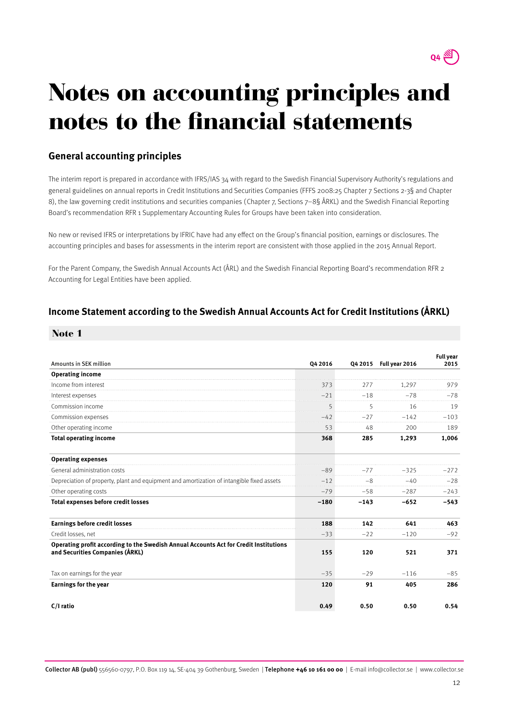

## Notes on accounting principles and notes to the financial statements

## **General accounting principles**

The interim report is prepared in accordance with IFRS/IAS 34 with regard to the Swedish Financial Supervisory Authority's regulations and general guidelines on annual reports in Credit Institutions and Securities Companies (FFFS 2008:25 Chapter 7 Sections 2-3§ and Chapter 8), the law governing credit institutions and securities companies (Chapter 7, Sections 7–8§ ÅRKL) and the Swedish Financial Reporting Board's recommendation RFR 1 Supplementary Accounting Rules for Groups have been taken into consideration.

No new or revised IFRS or interpretations by IFRIC have had any effect on the Group's financial position, earnings or disclosures. The accounting principles and bases for assessments in the interim report are consistent with those applied in the 2015 Annual Report.

For the Parent Company, the Swedish Annual Accounts Act (ÅRL) and the Swedish Financial Reporting Board's recommendation RFR 2 Accounting for Legal Entities have been applied.

### **Income Statement according to the Swedish Annual Accounts Act for Credit Institutions (ÅRKL)**

#### Note 1

| Amounts in SEK million                                                                                                   | 04 2016 |        | Q4 2015 Full year 2016 | <b>Full year</b><br>2015 |
|--------------------------------------------------------------------------------------------------------------------------|---------|--------|------------------------|--------------------------|
| <b>Operating income</b>                                                                                                  |         |        |                        |                          |
| Income from interest                                                                                                     | 373     | 277    | 1.297                  | 979                      |
| Interest expenses                                                                                                        | $-21$   | $-18$  | $-78$                  | $-78$                    |
| Commission income                                                                                                        | 5<br>.  | 5      | 16                     | 19                       |
| Commission expenses                                                                                                      | $-42$   | $-27$  | $-142$                 | $-103$                   |
| Other operating income                                                                                                   | 53      | 48     | 200                    | 189                      |
| <b>Total operating income</b>                                                                                            | 368     | 285    | 1,293                  | 1,006                    |
| <b>Operating expenses</b>                                                                                                |         |        |                        |                          |
| General administration costs                                                                                             | $-89$   | -77    | $-325$                 | $-272$                   |
| Depreciation of property, plant and equipment and amortization of intangible fixed assets                                | $-12$   | $-8$   | $-40$                  | $-28$                    |
| Other operating costs                                                                                                    | $-79$   | $-58$  | $-287$                 | $-243$                   |
| <b>Total expenses before credit losses</b>                                                                               | $-180$  | $-143$ | $-652$                 | $-543$                   |
| <b>Earnings before credit losses</b>                                                                                     | 188     | 142    | 641                    | 463                      |
| Credit losses, net                                                                                                       | $-33$   | $-22$  | $-120$                 | $-92$                    |
| Operating profit according to the Swedish Annual Accounts Act for Credit Institutions<br>and Securities Companies (ÅRKL) | 155     | 120    | 521                    | 371                      |
| Tax on earnings for the year                                                                                             | $-35$   | $-29$  | $-116$                 | $-85$                    |
| <b>Earnings for the year</b>                                                                                             | 120     | 91     | 405                    | 286                      |
| C/I ratio                                                                                                                | 0.49    | 0.50   | 0.50                   | 0.54                     |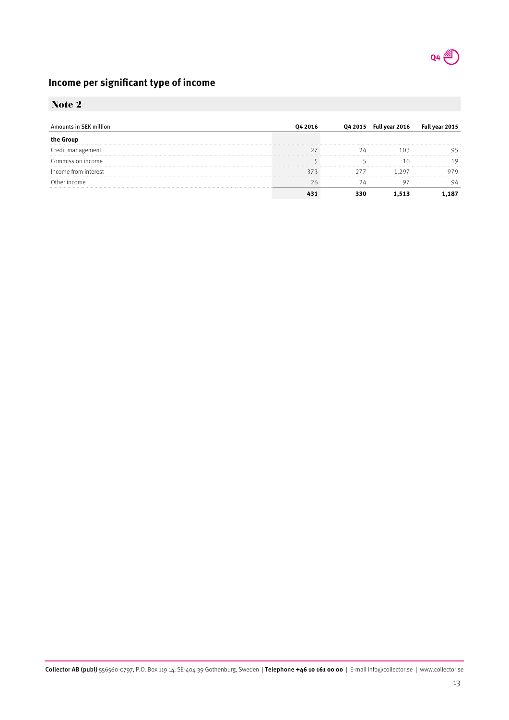

## **Income per significant type of income**

## Note 2

| nts in SFK million   | 04 2015 | Full year 2016 | Ful |
|----------------------|---------|----------------|-----|
|                      |         |                |     |
| Credit management    |         |                |     |
| Commission income    |         |                |     |
| Income trom interest |         |                |     |
| `)ther income        |         |                |     |
|                      |         |                |     |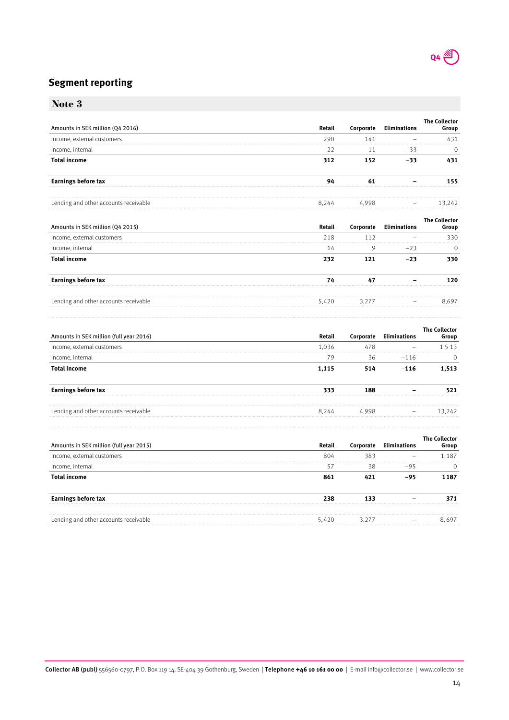

## **Segment reporting**

|                                       |        |           |                     | <b>The Collector</b>          |
|---------------------------------------|--------|-----------|---------------------|-------------------------------|
| Amounts in SEK million (Q4 2016)      | Retail | Corporate | <b>Eliminations</b> | Group                         |
| Income, external customers            | 290    | 141       |                     | 431                           |
| Income, internal                      | 22     | 11        | $-33$               | 0                             |
| <b>Total income</b>                   | 312    | 152       | $-33$               | 431                           |
| <b>Earnings before tax</b>            | 94     | 61        |                     | 155                           |
| Lending and other accounts receivable | 8,244  | 4,998     |                     | 13,242                        |
| Amounts in SEK million (Q4 2015)      | Retail | Corporate | <b>Eliminations</b> | <b>The Collector</b><br>Group |
| Income, external customers            | 218    | 112       |                     | 330                           |
| Income, internal                      | 14     | 9         | $-23$               | $\mathbf 0$                   |
| <b>Total income</b>                   | 232    | 121       | $-23$               | 330                           |
| <b>Earnings before tax</b>            | 74     | 47        |                     | 120                           |
| Lending and other accounts receivable | 5,420  | 3,277     |                     | 8.697                         |

| Amounts in SEK million (full year 2016) |     |    |        | iroun |
|-----------------------------------------|-----|----|--------|-------|
| Income, external customers              | 036 |    |        |       |
| Income, internal                        |     | 36 | $-116$ |       |
|                                         |     |    |        |       |
|                                         |     |    |        |       |
| Lending and other accounts receivable   | 244 |    |        |       |

| Amounts in SEK million (full year 2015) | Retail | porate | iroup |
|-----------------------------------------|--------|--------|-------|
| Income, external customers              | 804    |        | 187   |
| Income, internal                        |        |        |       |
| al income                               |        |        | -187  |
| <b>Larnings before tax</b>              |        |        |       |
| Lending and other accounts receivable   |        |        |       |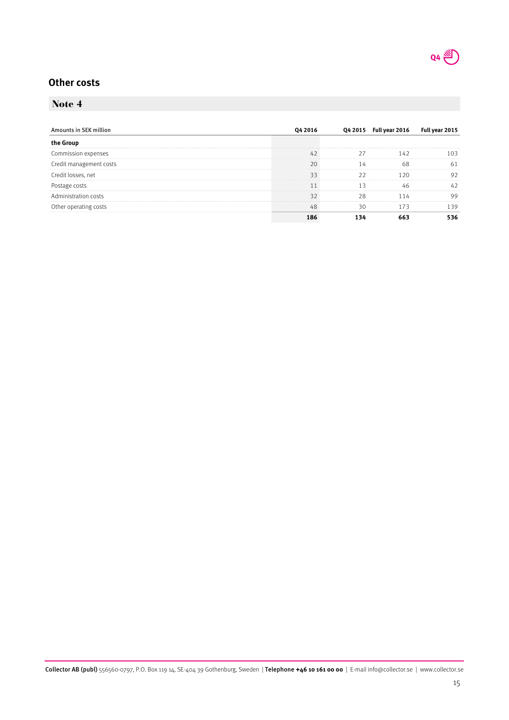

## **Other costs**

## Note 4

| Amounts in SEK million  |    | Q4 2015 Full year 2016 | <b>Full</b> |
|-------------------------|----|------------------------|-------------|
|                         |    |                        |             |
| Commission expenses     |    |                        |             |
| Credit management costs |    |                        | h.          |
| Credit losses. net      |    |                        |             |
|                         |    |                        |             |
| Administration o        | א׳ |                        |             |
| Other operating (       |    |                        |             |
|                         |    |                        |             |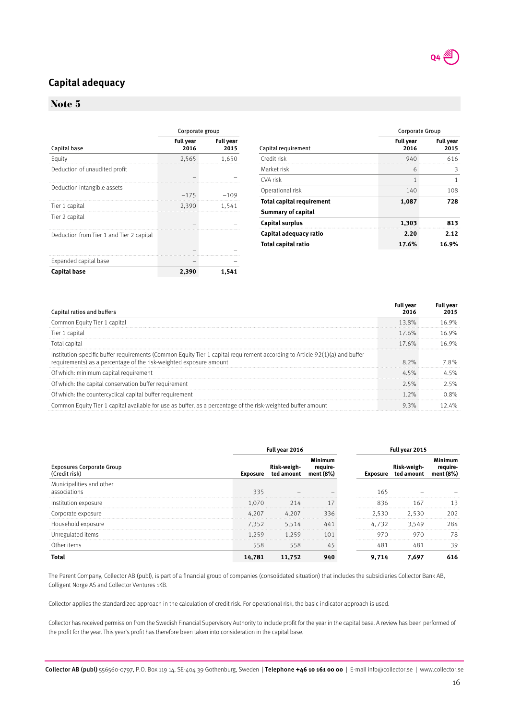

## **Capital adequacy**

### Note 5

|                                          | Corporate group          |                          |  |
|------------------------------------------|--------------------------|--------------------------|--|
| Capital base                             | <b>Full year</b><br>2016 | <b>Full year</b><br>2015 |  |
| Equity                                   | 2,565                    | 1,650                    |  |
| Deduction of unaudited profit            |                          |                          |  |
| Deduction intangible assets              | $-175$                   | $-109$                   |  |
| Tier 1 capital                           | 2,390                    | 1,541                    |  |
| Tier 2 capital                           |                          |                          |  |
| Deduction from Tier 1 and Tier 2 capital |                          |                          |  |
|                                          |                          |                          |  |
| Expanded capital base                    |                          |                          |  |
| <b>Capital base</b>                      | 2,390                    | 1,541                    |  |

|                                  | <b>Corporate Group</b>   |                          |  |
|----------------------------------|--------------------------|--------------------------|--|
| Capital requirement              | <b>Full year</b><br>2016 | <b>Full year</b><br>2015 |  |
| Credit risk                      | 940                      | 616                      |  |
| Market risk                      | 6                        | 3                        |  |
| CVA risk                         | 1                        | 1                        |  |
| Operational risk                 | 140                      | 108                      |  |
| <b>Total capital requirement</b> | 1,087                    | 728                      |  |
| Summary of capital               |                          |                          |  |
| <b>Capital surplus</b>           | 1,303                    | 813                      |  |
| Capital adequacy ratio           | 2.20                     | 2.12                     |  |
| Total capital ratio              | 16.9%<br>17.6%           |                          |  |

| Capital ratios and buffers                                                                                                                                                                        |       | Full vear |
|---------------------------------------------------------------------------------------------------------------------------------------------------------------------------------------------------|-------|-----------|
| Common Equity Tier 1 capital                                                                                                                                                                      | 13.8% | 16.9%     |
| Tier 1 capital                                                                                                                                                                                    | 17.6% |           |
| Total capita                                                                                                                                                                                      | 17.6% | 16 9%     |
| Institution-specific buffer requirements (Common Equity Tier 1 capital requirement according to Article 92(1)(a) and buffer<br>requirements) as a percentage of the risk-weighted exposure amount | 8.2%  | 78%       |
| Of which: minimum capital requirement                                                                                                                                                             | 45%   |           |
| Of which: the capital conservation buffer requirement                                                                                                                                             | 25%   | ) 5%      |
| Of which: the countercyclical capital buffer requirement                                                                                                                                          | 2%    |           |
| imon Equity Tier 1 capital available for use as buffer, as a percentage of the risk-weighted buffer amount                                                                                        |       | $4\%$     |

|                                                   |          | Full year 2016            |           | Full year 2015 |            |          |
|---------------------------------------------------|----------|---------------------------|-----------|----------------|------------|----------|
| <b>Exposures Corporate Group</b><br>(Credit risk) | Exposure | Risk-weigh-<br>ted amount | ment (8%) | Exposure       | ted amount | ment (8% |
| Municipalities and other<br>associations          | 335      |                           |           | 165            |            |          |
| Institution exposure                              | 1.070    | 214                       |           | 836            | 167        |          |
| Lorborate exbosure                                | 4.207    | 4.207                     | 336       | 2.530          | 2.530      | 202      |
| Household exposure                                | 7.352    | 5.514                     | 44        | 4.732          | 3.549      | 284      |
| Unregulated items                                 | l.259    | 1 259                     |           | 970            | 970        | 78       |
| Other items                                       | 558      | 558                       | 45        | 481            |            | 39       |
|                                                   | 14,781   |                           |           | 9.714          | 7.697      | 616      |

The Parent Company, Collector AB (publ), is part of a financial group of companies (consolidated situation) that includes the subsidiaries Collector Bank AB, Colligent Norge AS and Collector Ventures 1KB.

Collector applies the standardized approach in the calculation of credit risk. For operational risk, the basic indicator approach is used.

Collector has received permission from the Swedish Financial Supervisory Authority to include profit for the year in the capital base. A review has been performed of the profit for the year. This year's profit has therefore been taken into consideration in the capital base.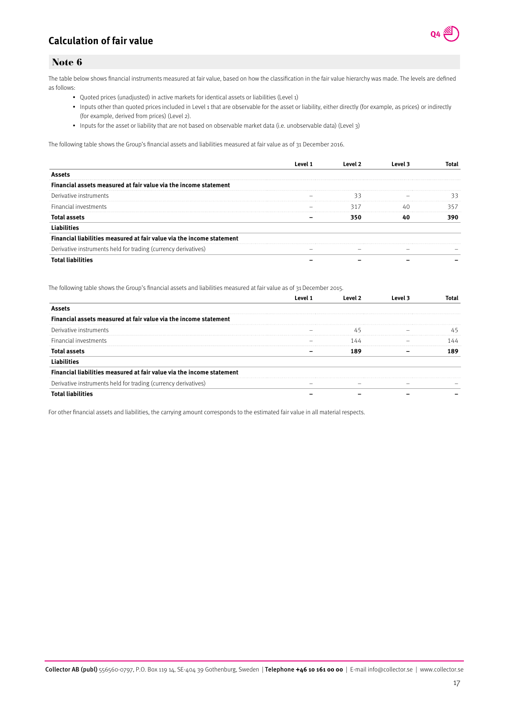## **Calculation of fair value**



#### Note 6

The table below shows financial instruments measured at fair value, based on how the classification in the fair value hierarchy was made. The levels are defined as follows:

- Quoted prices (unadjusted) in active markets for identical assets or liabilities (Level 1)
- Inputs other than quoted prices included in Level 1 that are observable for the asset or liability, either directly (for example, as prices) or indirectly (for example, derived from prices) (Level 2).
- Inputs for the asset or liability that are not based on observable market data (i.e. unobservable data) (Level 3)

The following table shows the Group's financial assets and liabilities measured at fair value as of 31 December 2016.

| cial assets measured at fair value via the income statement<br>Fina |     |  |
|---------------------------------------------------------------------|-----|--|
| Derivative instruments                                              |     |  |
| Financial investments                                               | 317 |  |
|                                                                     |     |  |
|                                                                     |     |  |
| ncial liabilities measured at fair value via the income statement   |     |  |
| Derivative instruments held for trading (currency derivatives)      |     |  |
|                                                                     |     |  |

The following table shows the Group's financial assets and liabilities measured at fair value as of 31 December 2015.

| ial assets measured at fair value via the income statement<br>Fina    |  |  |
|-----------------------------------------------------------------------|--|--|
| Derivative instruments                                                |  |  |
| Financial investments                                                 |  |  |
| lotal assets                                                          |  |  |
|                                                                       |  |  |
| Financial liabilities measured at fair value via the income statement |  |  |
| Derivative instruments held for trading (currency derivatives)        |  |  |
|                                                                       |  |  |

For other financial assets and liabilities, the carrying amount corresponds to the estimated fair value in all material respects.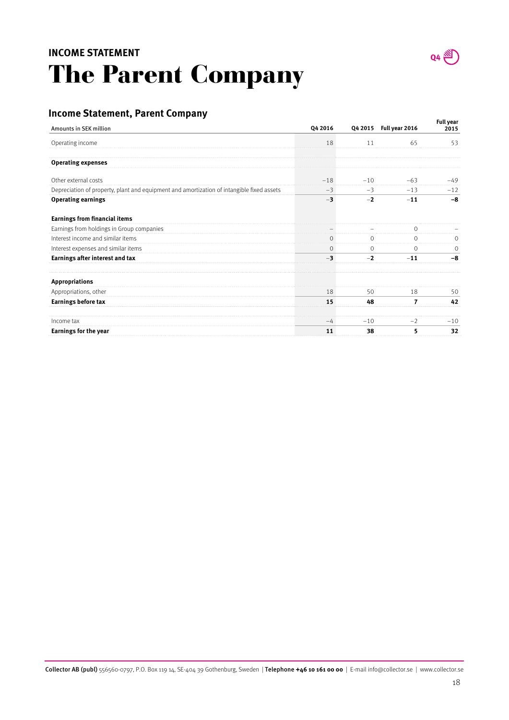## The Parent Company **INCOME STATEMENT**



## **Income Statement, Parent Company**

| Amounts in SEK million                                                                    | Q4 2016 |         | Q4 2015 Full year 2016 | Full year<br>2015 |
|-------------------------------------------------------------------------------------------|---------|---------|------------------------|-------------------|
| Operating income                                                                          | 18      | 11      | 65                     | 53                |
| <b>Operating expenses</b>                                                                 |         |         |                        |                   |
| Other external costs                                                                      | $-18$   | $-10$   | $-63$                  | $-49$             |
| Depreciation of property, plant and equipment and amortization of intangible fixed assets | $-3$    | $-3$    | $-13$                  | $-12$             |
| <b>Operating earnings</b>                                                                 | $-3$    | $-2$    | $-11$                  | $-8$              |
| <b>Earnings from financial items</b>                                                      |         |         |                        |                   |
| Earnings from holdings in Group companies                                                 |         |         |                        |                   |
| Interest income and similar items                                                         |         |         |                        |                   |
| Interest expenses and similar items                                                       | $\circ$ | $\circ$ | $\circ$                |                   |
| Earnings after interest and tax                                                           |         | $-2$    | $-11$                  | -8                |
| <b>Appropriations</b>                                                                     |         |         |                        |                   |
| Appropriations, other                                                                     | 18      | 50      | 18                     | 50                |
| Earnings before tax                                                                       | 15      | 48      | 7                      | 42                |
| Income tax                                                                                | -4      | $-10$   | $-2$                   | $-10$             |
| Earnings for the year                                                                     | 11      | 38      | 5                      | 32                |